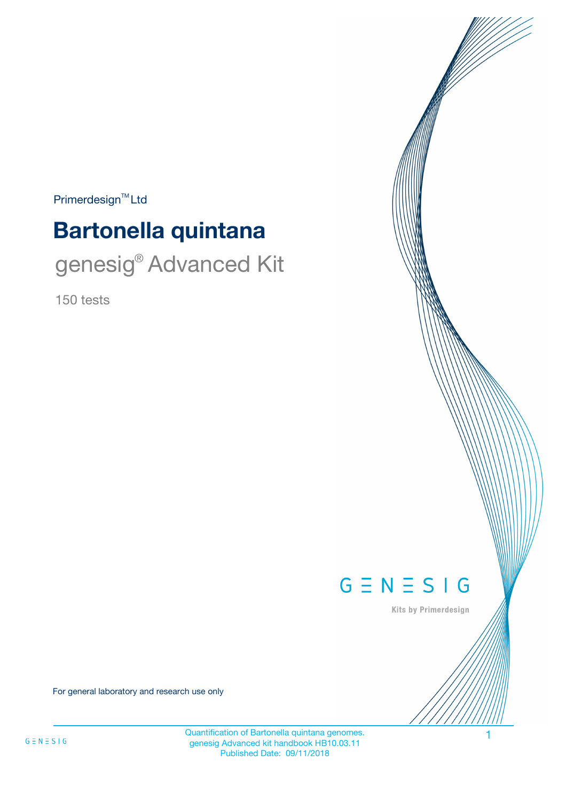$Primerdesign^{\text{TM}}Ltd$ 

# **Bartonella quintana**

genesig<sup>®</sup> Advanced Kit

150 tests



Kits by Primerdesign

For general laboratory and research use only

Quantification of Bartonella quintana genomes. 1 genesig Advanced kit handbook HB10.03.11 Published Date: 09/11/2018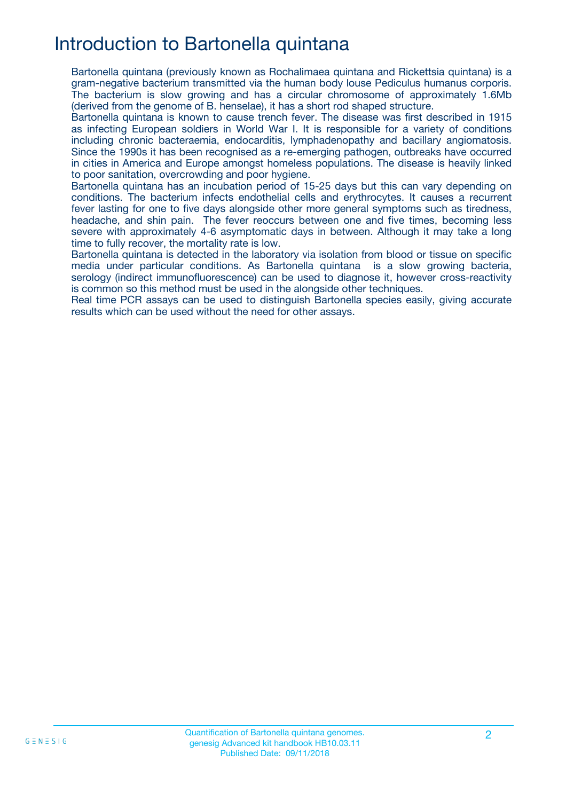# Introduction to Bartonella quintana

Bartonella quintana (previously known as Rochalimaea quintana and Rickettsia quintana) is a gram-negative bacterium transmitted via the human body louse Pediculus humanus corporis. The bacterium is slow growing and has a circular chromosome of approximately 1.6Mb (derived from the genome of B. henselae), it has a short rod shaped structure.

Bartonella quintana is known to cause trench fever. The disease was first described in 1915 as infecting European soldiers in World War I. It is responsible for a variety of conditions including chronic bacteraemia, endocarditis, lymphadenopathy and bacillary angiomatosis. Since the 1990s it has been recognised as a re-emerging pathogen, outbreaks have occurred in cities in America and Europe amongst homeless populations. The disease is heavily linked to poor sanitation, overcrowding and poor hygiene.

Bartonella quintana has an incubation period of 15-25 days but this can vary depending on conditions. The bacterium infects endothelial cells and erythrocytes. It causes a recurrent fever lasting for one to five days alongside other more general symptoms such as tiredness, headache, and shin pain. The fever reoccurs between one and five times, becoming less severe with approximately 4-6 asymptomatic days in between. Although it may take a long time to fully recover, the mortality rate is low.

Bartonella quintana is detected in the laboratory via isolation from blood or tissue on specific media under particular conditions. As Bartonella quintana is a slow growing bacteria, serology (indirect immunofluorescence) can be used to diagnose it, however cross-reactivity is common so this method must be used in the alongside other techniques.

Real time PCR assays can be used to distinguish Bartonella species easily, giving accurate results which can be used without the need for other assays.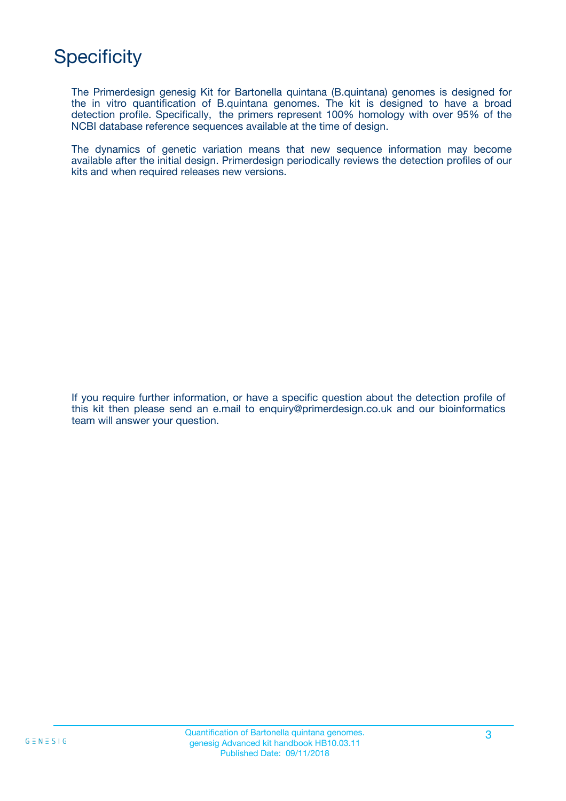# **Specificity**

The Primerdesign genesig Kit for Bartonella quintana (B.quintana) genomes is designed for the in vitro quantification of B.quintana genomes. The kit is designed to have a broad detection profile. Specifically, the primers represent 100% homology with over 95% of the NCBI database reference sequences available at the time of design.

The dynamics of genetic variation means that new sequence information may become available after the initial design. Primerdesign periodically reviews the detection profiles of our kits and when required releases new versions.

If you require further information, or have a specific question about the detection profile of this kit then please send an e.mail to enquiry@primerdesign.co.uk and our bioinformatics team will answer your question.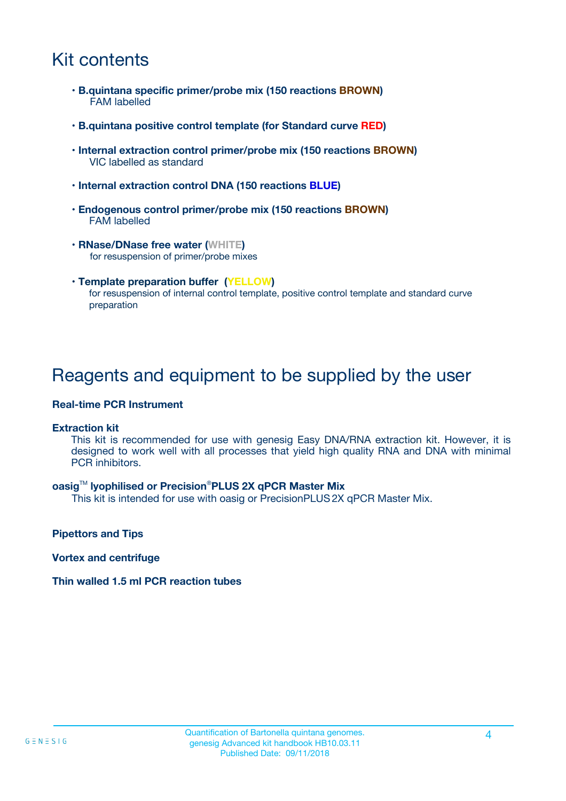# Kit contents

- **B.quintana specific primer/probe mix (150 reactions BROWN)** FAM labelled
- **B.quintana positive control template (for Standard curve RED)**
- **Internal extraction control primer/probe mix (150 reactions BROWN)** VIC labelled as standard
- **Internal extraction control DNA (150 reactions BLUE)**
- **Endogenous control primer/probe mix (150 reactions BROWN)** FAM labelled
- **RNase/DNase free water (WHITE)** for resuspension of primer/probe mixes
- **Template preparation buffer (YELLOW)** for resuspension of internal control template, positive control template and standard curve preparation

### Reagents and equipment to be supplied by the user

#### **Real-time PCR Instrument**

#### **Extraction kit**

This kit is recommended for use with genesig Easy DNA/RNA extraction kit. However, it is designed to work well with all processes that yield high quality RNA and DNA with minimal PCR inhibitors.

#### **oasig**TM **lyophilised or Precision**®**PLUS 2X qPCR Master Mix**

This kit is intended for use with oasig or PrecisionPLUS2X qPCR Master Mix.

**Pipettors and Tips**

**Vortex and centrifuge**

#### **Thin walled 1.5 ml PCR reaction tubes**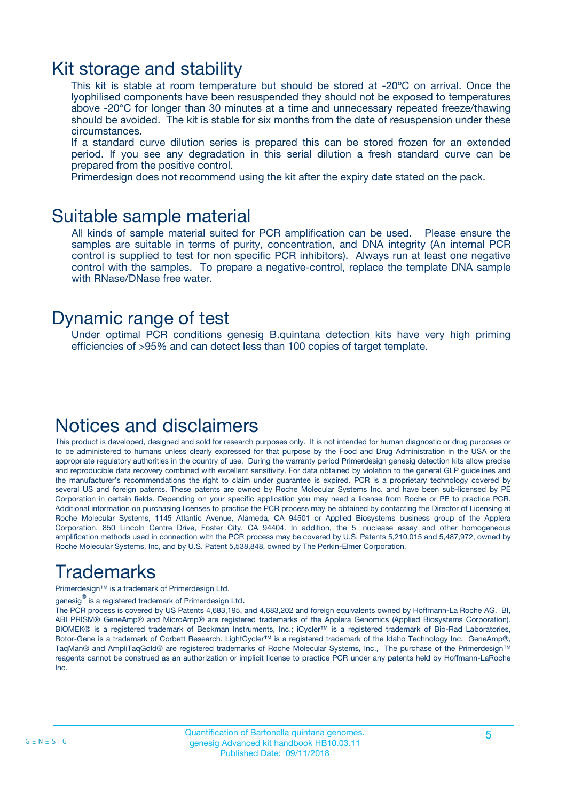### Kit storage and stability

This kit is stable at room temperature but should be stored at -20ºC on arrival. Once the lyophilised components have been resuspended they should not be exposed to temperatures above -20°C for longer than 30 minutes at a time and unnecessary repeated freeze/thawing should be avoided. The kit is stable for six months from the date of resuspension under these circumstances.

If a standard curve dilution series is prepared this can be stored frozen for an extended period. If you see any degradation in this serial dilution a fresh standard curve can be prepared from the positive control.

Primerdesign does not recommend using the kit after the expiry date stated on the pack.

### Suitable sample material

All kinds of sample material suited for PCR amplification can be used. Please ensure the samples are suitable in terms of purity, concentration, and DNA integrity (An internal PCR control is supplied to test for non specific PCR inhibitors). Always run at least one negative control with the samples. To prepare a negative-control, replace the template DNA sample with RNase/DNase free water.

### Dynamic range of test

Under optimal PCR conditions genesig B.quintana detection kits have very high priming efficiencies of >95% and can detect less than 100 copies of target template.

### Notices and disclaimers

This product is developed, designed and sold for research purposes only. It is not intended for human diagnostic or drug purposes or to be administered to humans unless clearly expressed for that purpose by the Food and Drug Administration in the USA or the appropriate regulatory authorities in the country of use. During the warranty period Primerdesign genesig detection kits allow precise and reproducible data recovery combined with excellent sensitivity. For data obtained by violation to the general GLP guidelines and the manufacturer's recommendations the right to claim under guarantee is expired. PCR is a proprietary technology covered by several US and foreign patents. These patents are owned by Roche Molecular Systems Inc. and have been sub-licensed by PE Corporation in certain fields. Depending on your specific application you may need a license from Roche or PE to practice PCR. Additional information on purchasing licenses to practice the PCR process may be obtained by contacting the Director of Licensing at Roche Molecular Systems, 1145 Atlantic Avenue, Alameda, CA 94501 or Applied Biosystems business group of the Applera Corporation, 850 Lincoln Centre Drive, Foster City, CA 94404. In addition, the 5' nuclease assay and other homogeneous amplification methods used in connection with the PCR process may be covered by U.S. Patents 5,210,015 and 5,487,972, owned by Roche Molecular Systems, Inc, and by U.S. Patent 5,538,848, owned by The Perkin-Elmer Corporation.

# Trademarks

Primerdesign™ is a trademark of Primerdesign Ltd.

genesig $^\circledR$  is a registered trademark of Primerdesign Ltd.

The PCR process is covered by US Patents 4,683,195, and 4,683,202 and foreign equivalents owned by Hoffmann-La Roche AG. BI, ABI PRISM® GeneAmp® and MicroAmp® are registered trademarks of the Applera Genomics (Applied Biosystems Corporation). BIOMEK® is a registered trademark of Beckman Instruments, Inc.; iCycler™ is a registered trademark of Bio-Rad Laboratories, Rotor-Gene is a trademark of Corbett Research. LightCycler™ is a registered trademark of the Idaho Technology Inc. GeneAmp®, TaqMan® and AmpliTaqGold® are registered trademarks of Roche Molecular Systems, Inc., The purchase of the Primerdesign™ reagents cannot be construed as an authorization or implicit license to practice PCR under any patents held by Hoffmann-LaRoche Inc.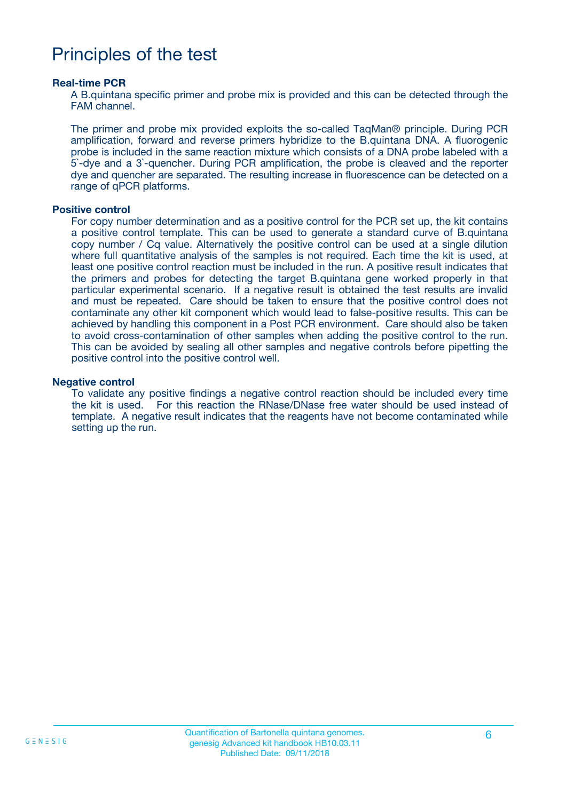### Principles of the test

#### **Real-time PCR**

A B.quintana specific primer and probe mix is provided and this can be detected through the FAM channel.

The primer and probe mix provided exploits the so-called TaqMan® principle. During PCR amplification, forward and reverse primers hybridize to the B.quintana DNA. A fluorogenic probe is included in the same reaction mixture which consists of a DNA probe labeled with a 5`-dye and a 3`-quencher. During PCR amplification, the probe is cleaved and the reporter dye and quencher are separated. The resulting increase in fluorescence can be detected on a range of qPCR platforms.

#### **Positive control**

For copy number determination and as a positive control for the PCR set up, the kit contains a positive control template. This can be used to generate a standard curve of B.quintana copy number / Cq value. Alternatively the positive control can be used at a single dilution where full quantitative analysis of the samples is not required. Each time the kit is used, at least one positive control reaction must be included in the run. A positive result indicates that the primers and probes for detecting the target B.quintana gene worked properly in that particular experimental scenario. If a negative result is obtained the test results are invalid and must be repeated. Care should be taken to ensure that the positive control does not contaminate any other kit component which would lead to false-positive results. This can be achieved by handling this component in a Post PCR environment. Care should also be taken to avoid cross-contamination of other samples when adding the positive control to the run. This can be avoided by sealing all other samples and negative controls before pipetting the positive control into the positive control well.

#### **Negative control**

To validate any positive findings a negative control reaction should be included every time the kit is used. For this reaction the RNase/DNase free water should be used instead of template. A negative result indicates that the reagents have not become contaminated while setting up the run.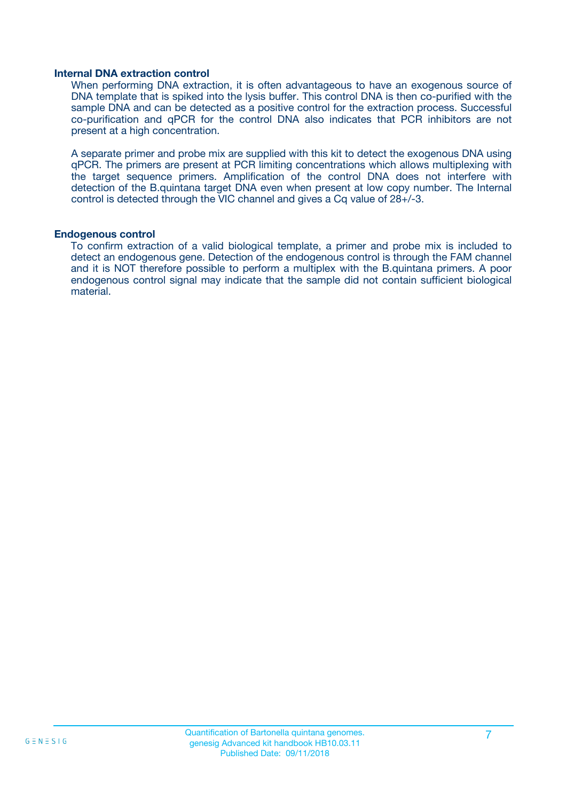#### **Internal DNA extraction control**

When performing DNA extraction, it is often advantageous to have an exogenous source of DNA template that is spiked into the lysis buffer. This control DNA is then co-purified with the sample DNA and can be detected as a positive control for the extraction process. Successful co-purification and qPCR for the control DNA also indicates that PCR inhibitors are not present at a high concentration.

A separate primer and probe mix are supplied with this kit to detect the exogenous DNA using qPCR. The primers are present at PCR limiting concentrations which allows multiplexing with the target sequence primers. Amplification of the control DNA does not interfere with detection of the B.quintana target DNA even when present at low copy number. The Internal control is detected through the VIC channel and gives a Cq value of 28+/-3.

#### **Endogenous control**

To confirm extraction of a valid biological template, a primer and probe mix is included to detect an endogenous gene. Detection of the endogenous control is through the FAM channel and it is NOT therefore possible to perform a multiplex with the B.quintana primers. A poor endogenous control signal may indicate that the sample did not contain sufficient biological material.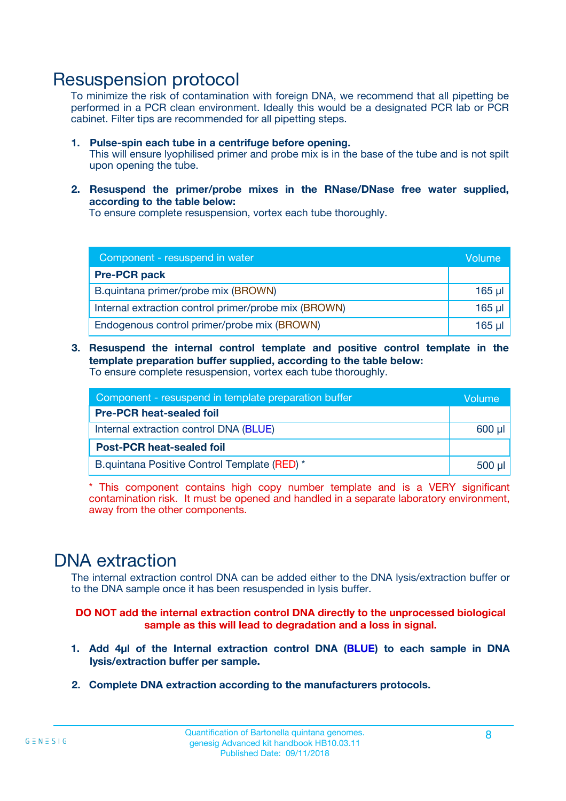### Resuspension protocol

To minimize the risk of contamination with foreign DNA, we recommend that all pipetting be performed in a PCR clean environment. Ideally this would be a designated PCR lab or PCR cabinet. Filter tips are recommended for all pipetting steps.

- **1. Pulse-spin each tube in a centrifuge before opening.** This will ensure lyophilised primer and probe mix is in the base of the tube and is not spilt upon opening the tube.
- **2. Resuspend the primer/probe mixes in the RNase/DNase free water supplied, according to the table below:**

To ensure complete resuspension, vortex each tube thoroughly.

| Component - resuspend in water                       |             |  |
|------------------------------------------------------|-------------|--|
| <b>Pre-PCR pack</b>                                  |             |  |
| B.quintana primer/probe mix (BROWN)                  | $165$ µl    |  |
| Internal extraction control primer/probe mix (BROWN) | $165$ $\mu$ |  |
| Endogenous control primer/probe mix (BROWN)          | 165 µl      |  |

**3. Resuspend the internal control template and positive control template in the template preparation buffer supplied, according to the table below:** To ensure complete resuspension, vortex each tube thoroughly.

| Component - resuspend in template preparation buffer |  |  |  |
|------------------------------------------------------|--|--|--|
| <b>Pre-PCR heat-sealed foil</b>                      |  |  |  |
| Internal extraction control DNA (BLUE)               |  |  |  |
| <b>Post-PCR heat-sealed foil</b>                     |  |  |  |
| B.quintana Positive Control Template (RED) *         |  |  |  |

\* This component contains high copy number template and is a VERY significant contamination risk. It must be opened and handled in a separate laboratory environment, away from the other components.

### DNA extraction

The internal extraction control DNA can be added either to the DNA lysis/extraction buffer or to the DNA sample once it has been resuspended in lysis buffer.

**DO NOT add the internal extraction control DNA directly to the unprocessed biological sample as this will lead to degradation and a loss in signal.**

- **1. Add 4µl of the Internal extraction control DNA (BLUE) to each sample in DNA lysis/extraction buffer per sample.**
- **2. Complete DNA extraction according to the manufacturers protocols.**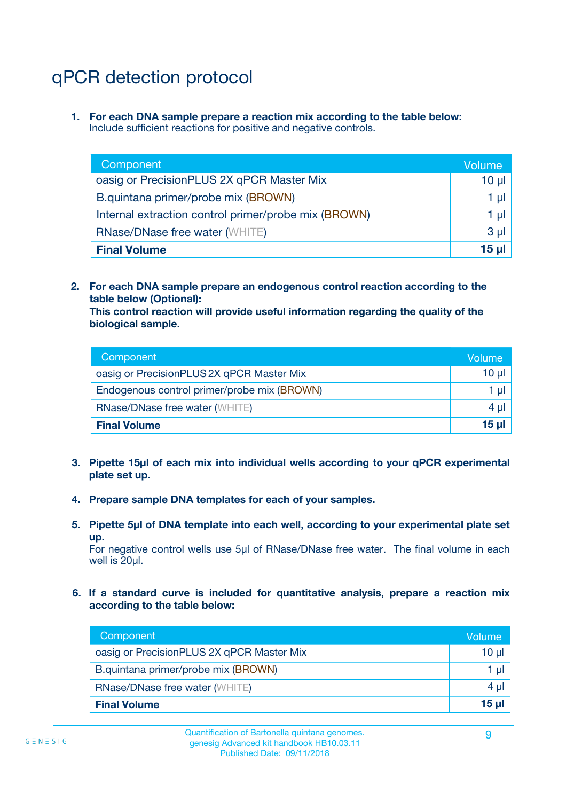# qPCR detection protocol

**1. For each DNA sample prepare a reaction mix according to the table below:** Include sufficient reactions for positive and negative controls.

| Component                                            | Volume   |
|------------------------------------------------------|----------|
| oasig or PrecisionPLUS 2X qPCR Master Mix            | $10 \mu$ |
| B.quintana primer/probe mix (BROWN)                  | 1 µI     |
| Internal extraction control primer/probe mix (BROWN) | 1 µl     |
| <b>RNase/DNase free water (WHITE)</b>                | $3 \mu$  |
| <b>Final Volume</b>                                  | 15 µl    |

**2. For each DNA sample prepare an endogenous control reaction according to the table below (Optional):**

**This control reaction will provide useful information regarding the quality of the biological sample.**

| Component                                   | Volume   |
|---------------------------------------------|----------|
| oasig or PrecisionPLUS 2X qPCR Master Mix   | $10 \mu$ |
| Endogenous control primer/probe mix (BROWN) | 1 µI     |
| <b>RNase/DNase free water (WHITE)</b>       | $4 \mu$  |
| <b>Final Volume</b>                         | 15 µl    |

- **3. Pipette 15µl of each mix into individual wells according to your qPCR experimental plate set up.**
- **4. Prepare sample DNA templates for each of your samples.**
- **5. Pipette 5µl of DNA template into each well, according to your experimental plate set up.**

For negative control wells use 5µl of RNase/DNase free water. The final volume in each well is 20ul.

**6. If a standard curve is included for quantitative analysis, prepare a reaction mix according to the table below:**

| Component                                 | Volume  |
|-------------------------------------------|---------|
| oasig or PrecisionPLUS 2X qPCR Master Mix | 10 µl   |
| B.quintana primer/probe mix (BROWN)       | 1 µI    |
| <b>RNase/DNase free water (WHITE)</b>     | $4 \mu$ |
| <b>Final Volume</b>                       | 15 µl   |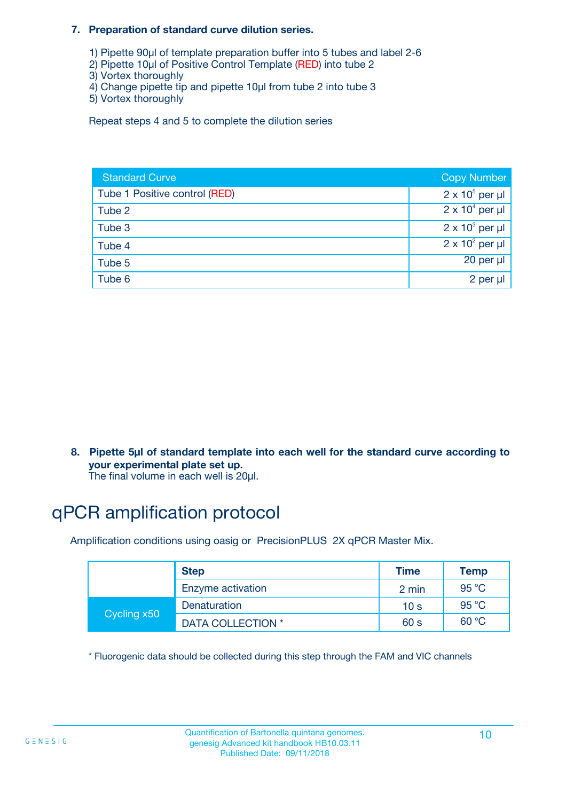#### **7. Preparation of standard curve dilution series.**

- 1) Pipette 90µl of template preparation buffer into 5 tubes and label 2-6
- 2) Pipette 10µl of Positive Control Template (RED) into tube 2
- 3) Vortex thoroughly
- 4) Change pipette tip and pipette 10µl from tube 2 into tube 3
- 5) Vortex thoroughly

Repeat steps 4 and 5 to complete the dilution series

| <b>Standard Curve</b>         | <b>Copy Number</b>     |
|-------------------------------|------------------------|
| Tube 1 Positive control (RED) | $2 \times 10^5$ per µl |
| Tube 2                        | $2 \times 10^4$ per µl |
| Tube 3                        | $2 \times 10^3$ per µl |
| Tube 4                        | $2 \times 10^2$ per µl |
| Tube 5                        | 20 per µl              |
| Tube 6                        | 2 per µl               |

**8. Pipette 5µl of standard template into each well for the standard curve according to your experimental plate set up.**

#### The final volume in each well is 20µl.

# qPCR amplification protocol

Amplification conditions using oasig or PrecisionPLUS 2X qPCR Master Mix.

|             | <b>Step</b>       | <b>Time</b>     | Temp    |
|-------------|-------------------|-----------------|---------|
|             | Enzyme activation | 2 min           | 95 °C   |
| Cycling x50 | Denaturation      | 10 <sub>s</sub> | 95 $°C$ |
|             | DATA COLLECTION * | 60 s            | 60 °C   |

\* Fluorogenic data should be collected during this step through the FAM and VIC channels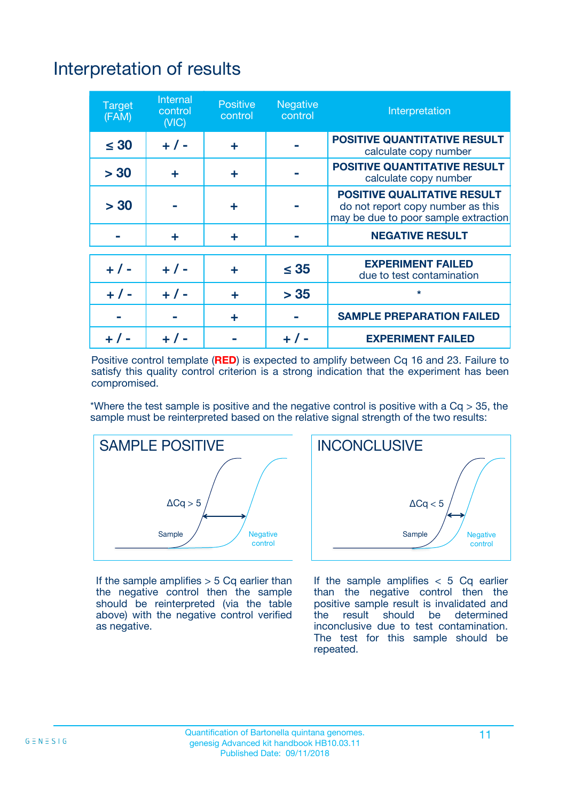# Interpretation of results

| <b>Target</b><br>(FAM) | <b>Internal</b><br>control<br>(NIC) | <b>Positive</b><br>control | <b>Negative</b><br>control | Interpretation                                                                                                  |
|------------------------|-------------------------------------|----------------------------|----------------------------|-----------------------------------------------------------------------------------------------------------------|
| $\leq 30$              | $+ 1 -$                             | ÷                          |                            | <b>POSITIVE QUANTITATIVE RESULT</b><br>calculate copy number                                                    |
| > 30                   | ٠                                   | ÷                          |                            | <b>POSITIVE QUANTITATIVE RESULT</b><br>calculate copy number                                                    |
| > 30                   |                                     | ÷                          |                            | <b>POSITIVE QUALITATIVE RESULT</b><br>do not report copy number as this<br>may be due to poor sample extraction |
|                        | ÷                                   | ÷                          |                            | <b>NEGATIVE RESULT</b>                                                                                          |
| $+ 1 -$                | $+ 1 -$                             | ÷                          | $\leq$ 35                  | <b>EXPERIMENT FAILED</b><br>due to test contamination                                                           |
| $+$ / -                | $+ 1 -$                             | ÷                          | > 35                       | $\star$                                                                                                         |
|                        |                                     | ÷                          |                            | <b>SAMPLE PREPARATION FAILED</b>                                                                                |
|                        |                                     |                            | $+$ /                      | <b>EXPERIMENT FAILED</b>                                                                                        |

Positive control template (**RED**) is expected to amplify between Cq 16 and 23. Failure to satisfy this quality control criterion is a strong indication that the experiment has been compromised.

\*Where the test sample is positive and the negative control is positive with a  $Ca > 35$ , the sample must be reinterpreted based on the relative signal strength of the two results:



If the sample amplifies  $> 5$  Cq earlier than the negative control then the sample should be reinterpreted (via the table above) with the negative control verified as negative.



If the sample amplifies  $< 5$  Cq earlier than the negative control then the positive sample result is invalidated and<br>the result should be determined  $the$  result should be inconclusive due to test contamination. The test for this sample should be repeated.